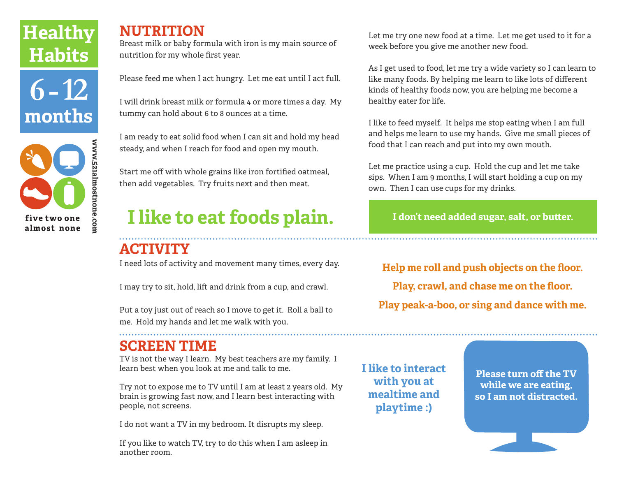# **Healthy Habits**





### **NUTRITION**

Breast milk or baby formula with iron is my main source of nutrition for my whole first year.

Please feed me when I act hungry. Let me eat until I act full.

I will drink breast milk or formula 4 or more times a day. My tummy can hold about 6 to 8 ounces at a time.

I am ready to eat solid food when I can sit and hold my head steady, and when I reach for food and open my mouth.

Start me off with whole grains like iron fortified oatmeal, then add vegetables. Try fruits next and then meat.

# **I like to eat foods plain.**

# **ACTIVITY**

I need lots of activity and movement many times, every day.

I may try to sit, hold, lift and drink from a cup, and crawl.

Put a toy just out of reach so I move to get it. Roll a ball to me. Hold my hands and let me walk with you.

## **SCREEN TIME**

TV is not the way I learn. My best teachers are my family. I learn best when you look at me and talk to me.

Try not to expose me to TV until I am at least 2 years old. My brain is growing fast now, and I learn best interacting with people, not screens.

I do not want a TV in my bedroom. It disrupts my sleep.

If you like to watch TV, try to do this when I am asleep in another room.

Let me try one new food at a time. Let me get used to it for a week before you give me another new food.

As I get used to food, let me try a wide variety so I can learn to like many foods. By helping me learn to like lots of different kinds of healthy foods now, you are helping me become a healthy eater for life.

I like to feed myself. It helps me stop eating when I am full and helps me learn to use my hands. Give me small pieces of food that I can reach and put into my own mouth.

Let me practice using a cup. Hold the cup and let me take sips. When I am 9 months, I will start holding a cup on my own. Then I can use cups for my drinks.

**I don't need added sugar, salt, or butter.**

**Help me roll and push objects on the floor. Play, crawl, and chase me on the floor. Play peak-a-boo, or sing and dance with me.**

**I like to interact with you at mealtime and playtime :)** 

**Please turn off the TV while we are eating, so I am not distracted.**